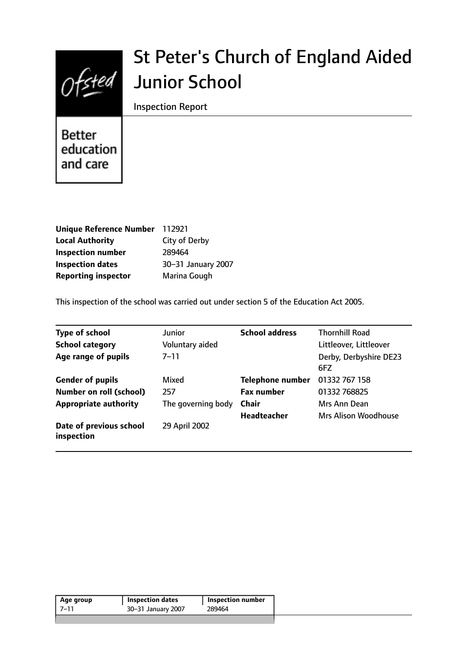

# St Peter's Church of England Aided Junior School

Inspection Report

**Better** education and care

| <b>Unique Reference Number</b> | 112921             |
|--------------------------------|--------------------|
| <b>Local Authority</b>         | City of Derby      |
| <b>Inspection number</b>       | 289464             |
| <b>Inspection dates</b>        | 30-31 January 2007 |
| <b>Reporting inspector</b>     | Marina Gough       |

This inspection of the school was carried out under section 5 of the Education Act 2005.

| <b>Type of school</b>                 | Junior             | <b>School address</b>   | <b>Thornhill Road</b>         |
|---------------------------------------|--------------------|-------------------------|-------------------------------|
| <b>School category</b>                | Voluntary aided    |                         | Littleover, Littleover        |
| Age range of pupils                   | $7 - 11$           |                         | Derby, Derbyshire DE23<br>6FZ |
| <b>Gender of pupils</b>               | Mixed              | <b>Telephone number</b> | 01332 767 158                 |
| <b>Number on roll (school)</b>        | 257                | <b>Fax number</b>       | 01332 768825                  |
| <b>Appropriate authority</b>          | The governing body | <b>Chair</b>            | Mrs Ann Dean                  |
|                                       |                    | <b>Headteacher</b>      | Mrs Alison Woodhouse          |
| Date of previous school<br>inspection | 29 April 2002      |                         |                               |

| 7–11<br>30-31 January 2007<br>289464 | Age group | <b>Inspection dates</b> | <b>Inspection number</b> |  |
|--------------------------------------|-----------|-------------------------|--------------------------|--|
|                                      |           |                         |                          |  |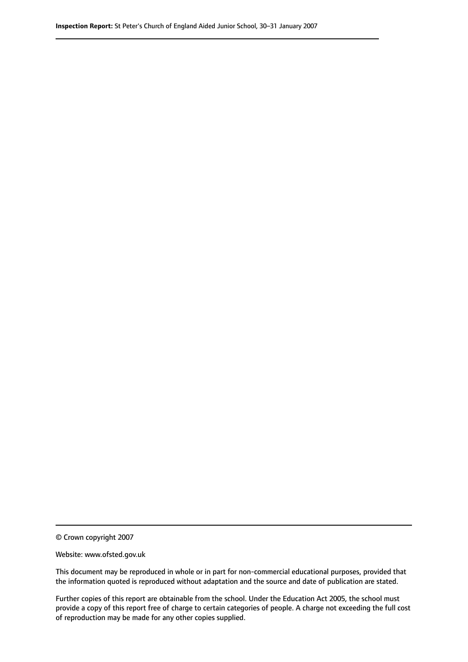© Crown copyright 2007

Website: www.ofsted.gov.uk

This document may be reproduced in whole or in part for non-commercial educational purposes, provided that the information quoted is reproduced without adaptation and the source and date of publication are stated.

Further copies of this report are obtainable from the school. Under the Education Act 2005, the school must provide a copy of this report free of charge to certain categories of people. A charge not exceeding the full cost of reproduction may be made for any other copies supplied.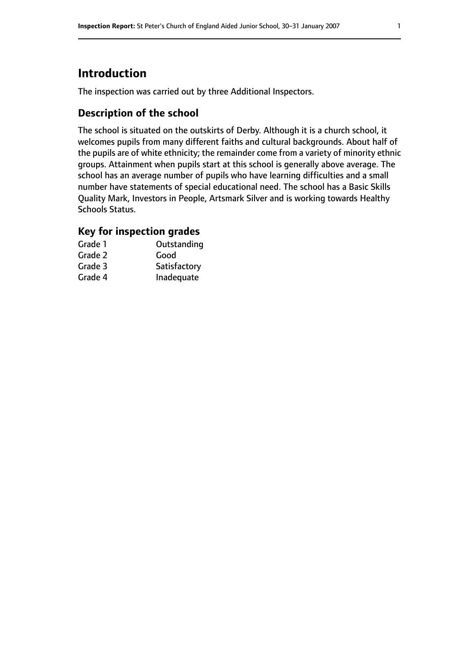## **Introduction**

The inspection was carried out by three Additional Inspectors.

### **Description of the school**

The school is situated on the outskirts of Derby. Although it is a church school, it welcomes pupils from many different faiths and cultural backgrounds. About half of the pupils are of white ethnicity; the remainder come from a variety of minority ethnic groups. Attainment when pupils start at this school is generally above average. The school has an average number of pupils who have learning difficulties and a small number have statements of special educational need. The school has a Basic Skills Quality Mark, Investors in People, Artsmark Silver and is working towards Healthy Schools Status.

## **Key for inspection grades**

| Grade 1 | Outstanding  |
|---------|--------------|
| Grade 2 | Good         |
| Grade 3 | Satisfactory |
| Grade 4 | Inadequate   |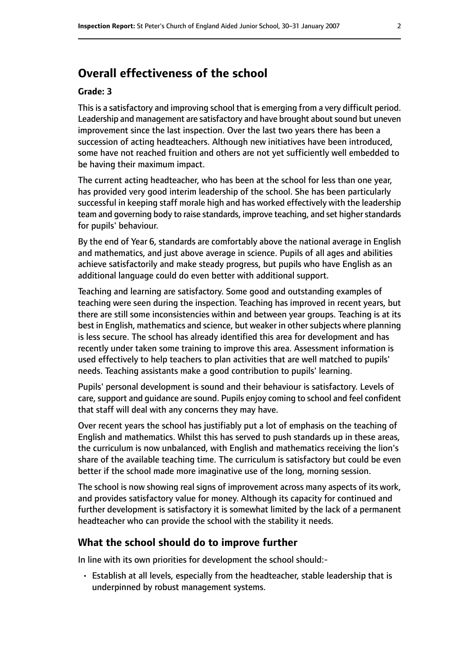## **Overall effectiveness of the school**

#### **Grade: 3**

This is a satisfactory and improving school that is emerging from a very difficult period. Leadership and management are satisfactory and have brought about sound but uneven improvement since the last inspection. Over the last two years there has been a succession of acting headteachers. Although new initiatives have been introduced, some have not reached fruition and others are not yet sufficiently well embedded to be having their maximum impact.

The current acting headteacher, who has been at the school for less than one year, has provided very good interim leadership of the school. She has been particularly successful in keeping staff morale high and has worked effectively with the leadership team and governing body to raise standards, improve teaching, and set higher standards for pupils' behaviour.

By the end of Year 6, standards are comfortably above the national average in English and mathematics, and just above average in science. Pupils of all ages and abilities achieve satisfactorily and make steady progress, but pupils who have English as an additional language could do even better with additional support.

Teaching and learning are satisfactory. Some good and outstanding examples of teaching were seen during the inspection. Teaching has improved in recent years, but there are still some inconsistencies within and between year groups. Teaching is at its best in English, mathematics and science, but weaker in other subjects where planning is less secure. The school has already identified this area for development and has recently under taken some training to improve this area. Assessment information is used effectively to help teachers to plan activities that are well matched to pupils' needs. Teaching assistants make a good contribution to pupils' learning.

Pupils' personal development is sound and their behaviour is satisfactory. Levels of care, support and quidance are sound. Pupils enjoy coming to school and feel confident that staff will deal with any concerns they may have.

Over recent years the school has justifiably put a lot of emphasis on the teaching of English and mathematics. Whilst this has served to push standards up in these areas, the curriculum is now unbalanced, with English and mathematics receiving the lion's share of the available teaching time. The curriculum is satisfactory but could be even better if the school made more imaginative use of the long, morning session.

The school is now showing real signs of improvement across many aspects of its work, and provides satisfactory value for money. Although its capacity for continued and further development is satisfactory it is somewhat limited by the lack of a permanent headteacher who can provide the school with the stability it needs.

#### **What the school should do to improve further**

In line with its own priorities for development the school should:-

• Establish at all levels, especially from the headteacher, stable leadership that is underpinned by robust management systems.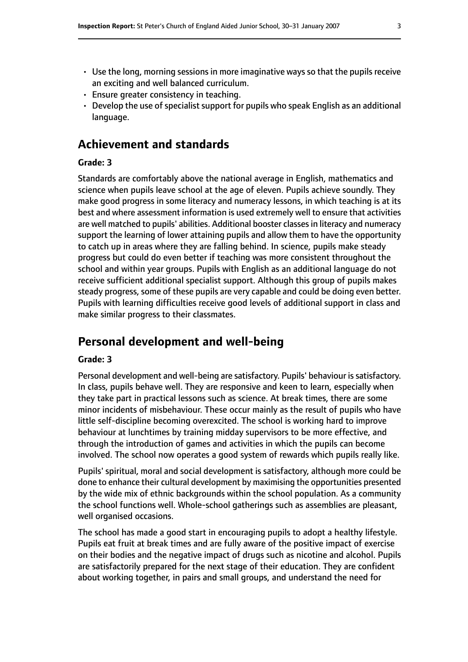- Use the long, morning sessions in more imaginative ways so that the pupils receive an exciting and well balanced curriculum.
- Ensure greater consistency in teaching.
- Develop the use of specialist support for pupils who speak English as an additional language.

## **Achievement and standards**

#### **Grade: 3**

Standards are comfortably above the national average in English, mathematics and science when pupils leave school at the age of eleven. Pupils achieve soundly. They make good progress in some literacy and numeracy lessons, in which teaching is at its best and where assessment information is used extremely well to ensure that activities are well matched to pupils' abilities. Additional booster classes in literacy and numeracy support the learning of lower attaining pupils and allow them to have the opportunity to catch up in areas where they are falling behind. In science, pupils make steady progress but could do even better if teaching was more consistent throughout the school and within year groups. Pupils with English as an additional language do not receive sufficient additional specialist support. Although this group of pupils makes steady progress, some of these pupils are very capable and could be doing even better. Pupils with learning difficulties receive good levels of additional support in class and make similar progress to their classmates.

## **Personal development and well-being**

#### **Grade: 3**

Personal development and well-being are satisfactory. Pupils' behaviour is satisfactory. In class, pupils behave well. They are responsive and keen to learn, especially when they take part in practical lessons such as science. At break times, there are some minor incidents of misbehaviour. These occur mainly as the result of pupils who have little self-discipline becoming overexcited. The school is working hard to improve behaviour at lunchtimes by training midday supervisors to be more effective, and through the introduction of games and activities in which the pupils can become involved. The school now operates a good system of rewards which pupils really like.

Pupils' spiritual, moral and social development is satisfactory, although more could be done to enhance their cultural development by maximising the opportunities presented by the wide mix of ethnic backgrounds within the school population. As a community the school functions well. Whole-school gatherings such as assemblies are pleasant, well organised occasions.

The school has made a good start in encouraging pupils to adopt a healthy lifestyle. Pupils eat fruit at break times and are fully aware of the positive impact of exercise on their bodies and the negative impact of drugs such as nicotine and alcohol. Pupils are satisfactorily prepared for the next stage of their education. They are confident about working together, in pairs and small groups, and understand the need for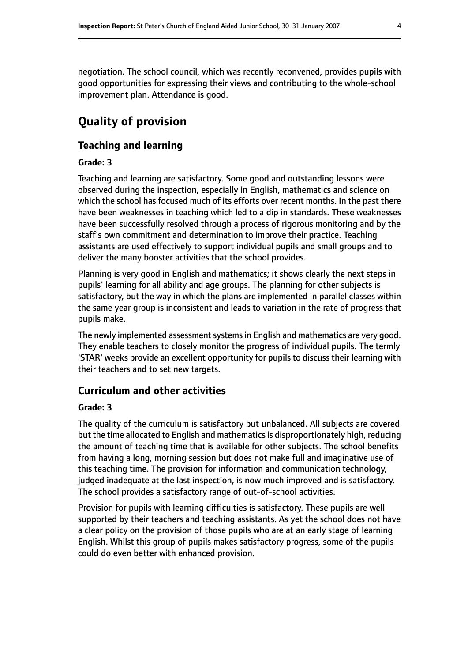negotiation. The school council, which was recently reconvened, provides pupils with good opportunities for expressing their views and contributing to the whole-school improvement plan. Attendance is good.

# **Quality of provision**

## **Teaching and learning**

#### **Grade: 3**

Teaching and learning are satisfactory. Some good and outstanding lessons were observed during the inspection, especially in English, mathematics and science on which the school has focused much of its efforts over recent months. In the past there have been weaknesses in teaching which led to a dip in standards. These weaknesses have been successfully resolved through a process of rigorous monitoring and by the staff's own commitment and determination to improve their practice. Teaching assistants are used effectively to support individual pupils and small groups and to deliver the many booster activities that the school provides.

Planning is very good in English and mathematics; it shows clearly the next steps in pupils' learning for all ability and age groups. The planning for other subjects is satisfactory, but the way in which the plans are implemented in parallel classes within the same year group is inconsistent and leads to variation in the rate of progress that pupils make.

The newly implemented assessment systems in English and mathematics are very good. They enable teachers to closely monitor the progress of individual pupils. The termly 'STAR' weeks provide an excellent opportunity for pupils to discuss their learning with their teachers and to set new targets.

#### **Curriculum and other activities**

#### **Grade: 3**

The quality of the curriculum is satisfactory but unbalanced. All subjects are covered but the time allocated to English and mathematics is disproportionately high, reducing the amount of teaching time that is available for other subjects. The school benefits from having a long, morning session but does not make full and imaginative use of this teaching time. The provision for information and communication technology, judged inadequate at the last inspection, is now much improved and is satisfactory. The school provides a satisfactory range of out-of-school activities.

Provision for pupils with learning difficulties is satisfactory. These pupils are well supported by their teachers and teaching assistants. As yet the school does not have a clear policy on the provision of those pupils who are at an early stage of learning English. Whilst this group of pupils makes satisfactory progress, some of the pupils could do even better with enhanced provision.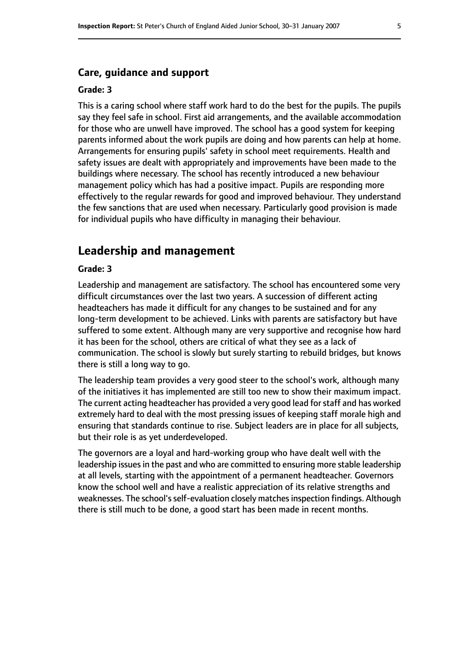#### **Care, guidance and support**

#### **Grade: 3**

This is a caring school where staff work hard to do the best for the pupils. The pupils say they feel safe in school. First aid arrangements, and the available accommodation for those who are unwell have improved. The school has a good system for keeping parents informed about the work pupils are doing and how parents can help at home. Arrangements for ensuring pupils' safety in school meet requirements. Health and safety issues are dealt with appropriately and improvements have been made to the buildings where necessary. The school has recently introduced a new behaviour management policy which has had a positive impact. Pupils are responding more effectively to the regular rewards for good and improved behaviour. They understand the few sanctions that are used when necessary. Particularly good provision is made for individual pupils who have difficulty in managing their behaviour.

## **Leadership and management**

#### **Grade: 3**

Leadership and management are satisfactory. The school has encountered some very difficult circumstances over the last two years. A succession of different acting headteachers has made it difficult for any changes to be sustained and for any long-term development to be achieved. Links with parents are satisfactory but have suffered to some extent. Although many are very supportive and recognise how hard it has been for the school, others are critical of what they see as a lack of communication. The school is slowly but surely starting to rebuild bridges, but knows there is still a long way to go.

The leadership team provides a very good steer to the school's work, although many of the initiatives it has implemented are still too new to show their maximum impact. The current acting headteacher has provided a very good lead forstaff and has worked extremely hard to deal with the most pressing issues of keeping staff morale high and ensuring that standards continue to rise. Subject leaders are in place for all subjects, but their role is as yet underdeveloped.

The governors are a loyal and hard-working group who have dealt well with the leadership issues in the past and who are committed to ensuring more stable leadership at all levels, starting with the appointment of a permanent headteacher. Governors know the school well and have a realistic appreciation of its relative strengths and weaknesses. The school's self-evaluation closely matches inspection findings. Although there is still much to be done, a good start has been made in recent months.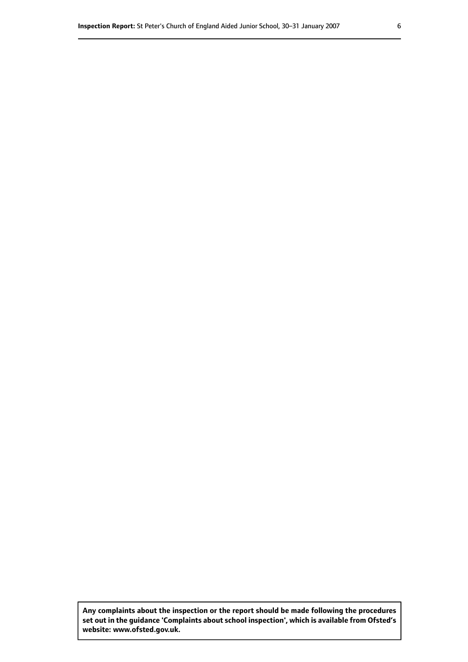**Any complaints about the inspection or the report should be made following the procedures set out inthe guidance 'Complaints about school inspection', whichis available from Ofsted's website: www.ofsted.gov.uk.**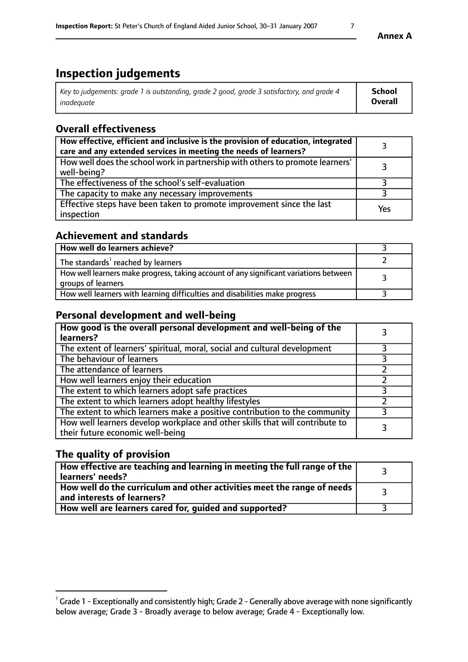# **Inspection judgements**

| Key to judgements: grade 1 is outstanding, grade 2 good, grade 3 satisfactory, and grade 4 | <b>School</b>  |
|--------------------------------------------------------------------------------------------|----------------|
| inadeauate                                                                                 | <b>Overall</b> |

## **Overall effectiveness**

| How effective, efficient and inclusive is the provision of education, integrated<br>care and any extended services in meeting the needs of learners? |     |
|------------------------------------------------------------------------------------------------------------------------------------------------------|-----|
| How well does the school work in partnership with others to promote learners'<br>well-being?                                                         |     |
| The effectiveness of the school's self-evaluation                                                                                                    |     |
| The capacity to make any necessary improvements                                                                                                      |     |
| Effective steps have been taken to promote improvement since the last<br>inspection                                                                  | Yes |

## **Achievement and standards**

| How well do learners achieve?                                                                               |  |
|-------------------------------------------------------------------------------------------------------------|--|
| The standards <sup>1</sup> reached by learners                                                              |  |
| How well learners make progress, taking account of any significant variations between<br>groups of learners |  |
| How well learners with learning difficulties and disabilities make progress                                 |  |

## **Personal development and well-being**

| How good is the overall personal development and well-being of the<br>learners?                                  |  |
|------------------------------------------------------------------------------------------------------------------|--|
| The extent of learners' spiritual, moral, social and cultural development                                        |  |
| The behaviour of learners                                                                                        |  |
| The attendance of learners                                                                                       |  |
| How well learners enjoy their education                                                                          |  |
| The extent to which learners adopt safe practices                                                                |  |
| The extent to which learners adopt healthy lifestyles                                                            |  |
| The extent to which learners make a positive contribution to the community                                       |  |
| How well learners develop workplace and other skills that will contribute to<br>their future economic well-being |  |

## **The quality of provision**

| How effective are teaching and learning in meeting the full range of the<br>learners' needs?          |  |
|-------------------------------------------------------------------------------------------------------|--|
| How well do the curriculum and other activities meet the range of needs<br>and interests of learners? |  |
| How well are learners cared for, guided and supported?                                                |  |

 $^1$  Grade 1 - Exceptionally and consistently high; Grade 2 - Generally above average with none significantly below average; Grade 3 - Broadly average to below average; Grade 4 - Exceptionally low.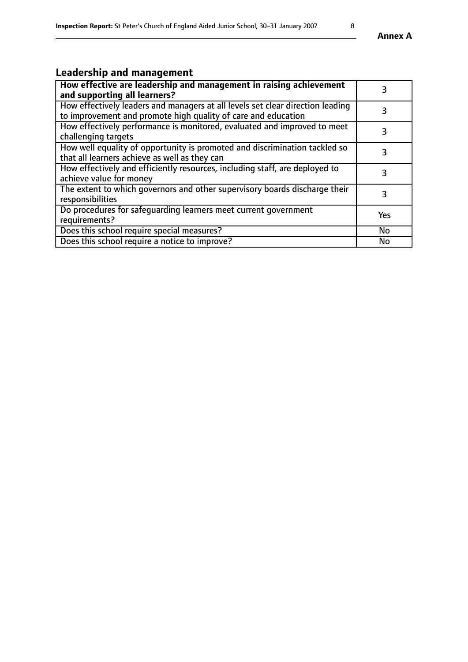# **Leadership and management**

| How effective are leadership and management in raising achievement<br>and supporting all learners?                                              | 3         |
|-------------------------------------------------------------------------------------------------------------------------------------------------|-----------|
| How effectively leaders and managers at all levels set clear direction leading<br>to improvement and promote high quality of care and education |           |
| How effectively performance is monitored, evaluated and improved to meet<br>challenging targets                                                 | 3         |
| How well equality of opportunity is promoted and discrimination tackled so<br>that all learners achieve as well as they can                     |           |
| How effectively and efficiently resources, including staff, are deployed to<br>achieve value for money                                          | 3         |
| The extent to which governors and other supervisory boards discharge their<br>responsibilities                                                  | 3         |
| Do procedures for safequarding learners meet current government<br>requirements?                                                                | Yes       |
| Does this school require special measures?                                                                                                      | No        |
| Does this school require a notice to improve?                                                                                                   | <b>No</b> |